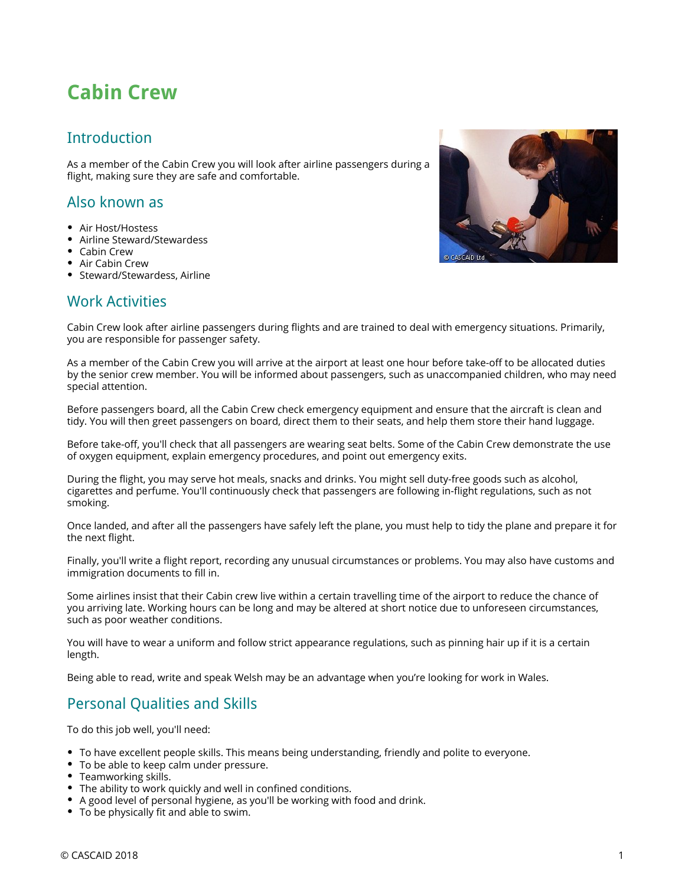# **Cabin Crew**

# Introduction

As a member of the Cabin Crew you will look after airline passengers during a flight, making sure they are safe and comfortable.

# Also known as

- Air Host/Hostess
- Airline Steward/Stewardess
- Cabin Crew
- Air Cabin Crew
- Steward/Stewardess, Airline

# Work Activities



Cabin Crew look after airline passengers during flights and are trained to deal with emergency situations. Primarily, you are responsible for passenger safety.

As a member of the Cabin Crew you will arrive at the airport at least one hour before take-off to be allocated duties by the senior crew member. You will be informed about passengers, such as unaccompanied children, who may need special attention.

Before passengers board, all the Cabin Crew check emergency equipment and ensure that the aircraft is clean and tidy. You will then greet passengers on board, direct them to their seats, and help them store their hand luggage.

Before take-off, you'll check that all passengers are wearing seat belts. Some of the Cabin Crew demonstrate the use of oxygen equipment, explain emergency procedures, and point out emergency exits.

During the flight, you may serve hot meals, snacks and drinks. You might sell duty-free goods such as alcohol, cigarettes and perfume. You'll continuously check that passengers are following in-flight regulations, such as not smoking.

Once landed, and after all the passengers have safely left the plane, you must help to tidy the plane and prepare it for the next flight.

Finally, you'll write a flight report, recording any unusual circumstances or problems. You may also have customs and immigration documents to fill in.

Some airlines insist that their Cabin crew live within a certain travelling time of the airport to reduce the chance of you arriving late. Working hours can be long and may be altered at short notice due to unforeseen circumstances, such as poor weather conditions.

You will have to wear a uniform and follow strict appearance regulations, such as pinning hair up if it is a certain length.

Being able to read, write and speak Welsh may be an advantage when you're looking for work in Wales.

# Personal Qualities and Skills

To do this job well, you'll need:

- To have excellent people skills. This means being understanding, friendly and polite to everyone.
- To be able to keep calm under pressure.
- Teamworking skills.
- The ability to work quickly and well in confined conditions.
- A good level of personal hygiene, as you'll be working with food and drink.
- To be physically fit and able to swim.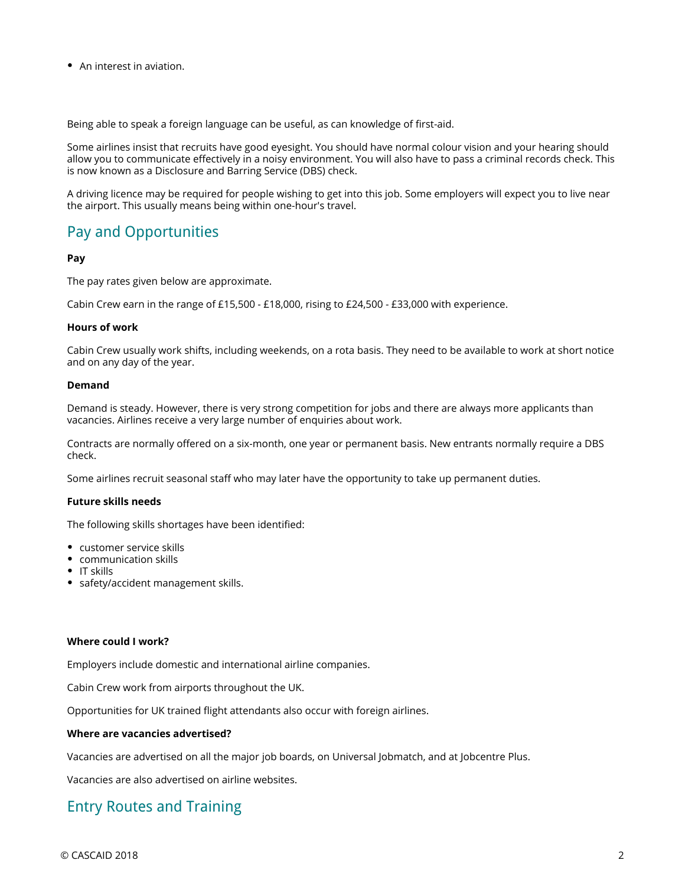• An interest in aviation.

Being able to speak a foreign language can be useful, as can knowledge of first-aid.

Some airlines insist that recruits have good eyesight. You should have normal colour vision and your hearing should allow you to communicate effectively in a noisy environment. You will also have to pass a criminal records check. This is now known as a Disclosure and Barring Service (DBS) check.

A driving licence may be required for people wishing to get into this job. Some employers will expect you to live near the airport. This usually means being within one-hour's travel.

### Pay and Opportunities

#### **Pay**

The pay rates given below are approximate.

Cabin Crew earn in the range of £15,500 - £18,000, rising to £24,500 - £33,000 with experience.

#### **Hours of work**

Cabin Crew usually work shifts, including weekends, on a rota basis. They need to be available to work at short notice and on any day of the year.

#### **Demand**

Demand is steady. However, there is very strong competition for jobs and there are always more applicants than vacancies. Airlines receive a very large number of enquiries about work.

Contracts are normally offered on a six-month, one year or permanent basis. New entrants normally require a DBS check.

Some airlines recruit seasonal staff who may later have the opportunity to take up permanent duties.

#### **Future skills needs**

The following skills shortages have been identified:

- customer service skills
- communication skills
- $\bullet$  IT skills
- safety/accident management skills.

#### **Where could I work?**

Employers include domestic and international airline companies.

Cabin Crew work from airports throughout the UK.

Opportunities for UK trained flight attendants also occur with foreign airlines.

#### **Where are vacancies advertised?**

Vacancies are advertised on all the major job boards, on Universal Jobmatch, and at Jobcentre Plus.

Vacancies are also advertised on airline websites.

# Entry Routes and Training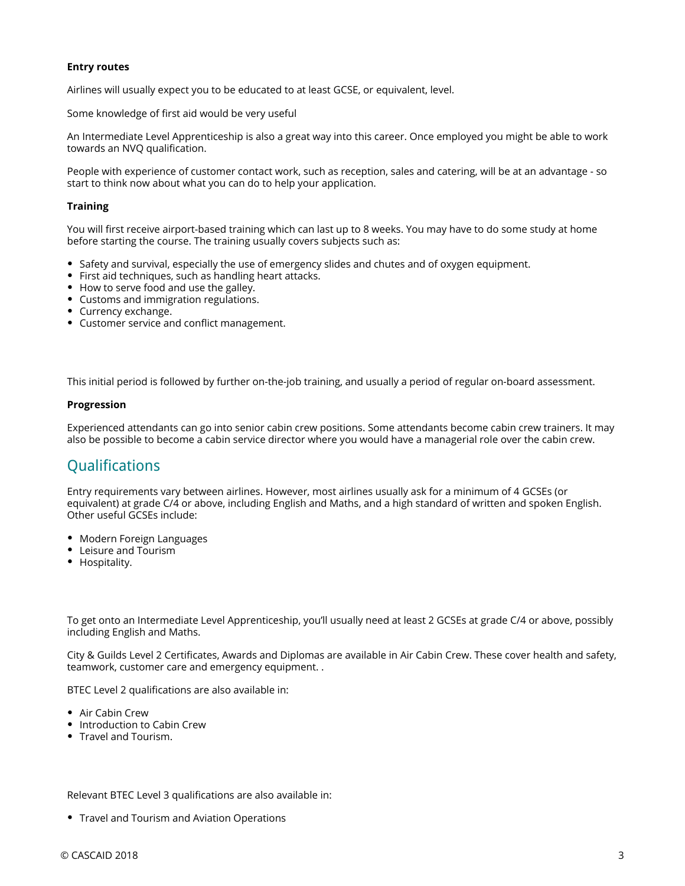#### **Entry routes**

Airlines will usually expect you to be educated to at least GCSE, or equivalent, level.

Some knowledge of first aid would be very useful

An Intermediate Level Apprenticeship is also a great way into this career. Once employed you might be able to work towards an NVQ qualification.

People with experience of customer contact work, such as reception, sales and catering, will be at an advantage - so start to think now about what you can do to help your application.

#### **Training**

You will first receive airport-based training which can last up to 8 weeks. You may have to do some study at home before starting the course. The training usually covers subjects such as:

- Safety and survival, especially the use of emergency slides and chutes and of oxygen equipment.
- First aid techniques, such as handling heart attacks.
- How to serve food and use the galley.
- Customs and immigration regulations.
- Currency exchange.
- Customer service and conflict management.

This initial period is followed by further on-the-job training, and usually a period of regular on-board assessment.

#### **Progression**

Experienced attendants can go into senior cabin crew positions. Some attendants become cabin crew trainers. It may also be possible to become a cabin service director where you would have a managerial role over the cabin crew.

# Qualifications

Entry requirements vary between airlines. However, most airlines usually ask for a minimum of 4 GCSEs (or equivalent) at grade C/4 or above, including English and Maths, and a high standard of written and spoken English. Other useful GCSEs include:

- Modern Foreign Languages
- Leisure and Tourism
- Hospitality.

To get onto an Intermediate Level Apprenticeship, you'll usually need at least 2 GCSEs at grade C/4 or above, possibly including English and Maths.

City & Guilds Level 2 Certificates, Awards and Diplomas are available in Air Cabin Crew. These cover health and safety, teamwork, customer care and emergency equipment. .

BTEC Level 2 qualifications are also available in:

- Air Cabin Crew
- Introduction to Cabin Crew
- Travel and Tourism.

Relevant BTEC Level 3 qualifications are also available in:

Travel and Tourism and Aviation Operations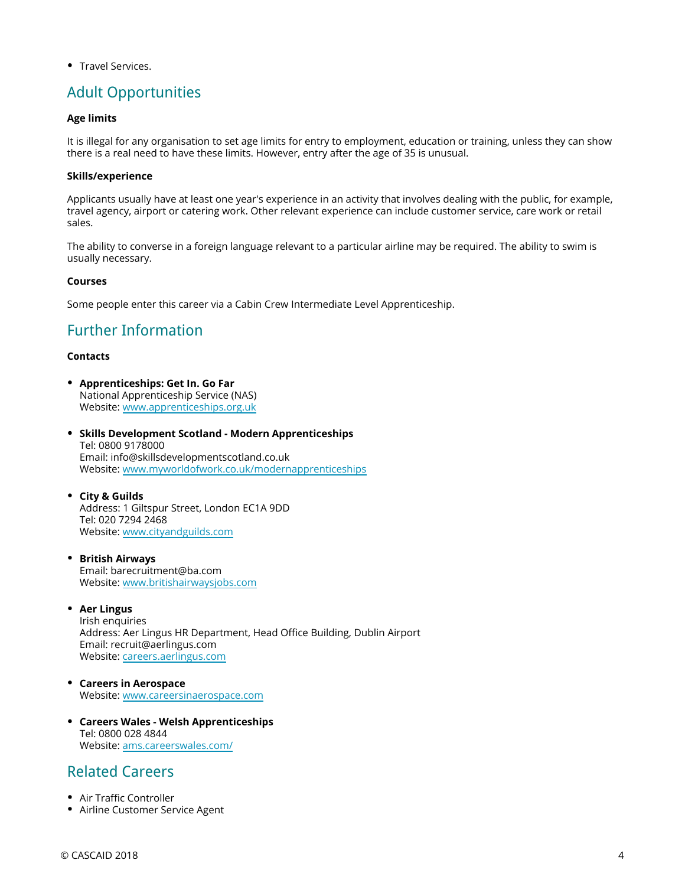**•** Travel Services.

# Adult Opportunities

#### **Age limits**

It is illegal for any organisation to set age limits for entry to employment, education or training, unless they can show there is a real need to have these limits. However, entry after the age of 35 is unusual.

#### **Skills/experience**

Applicants usually have at least one year's experience in an activity that involves dealing with the public, for example, travel agency, airport or catering work. Other relevant experience can include customer service, care work or retail sales.

The ability to converse in a foreign language relevant to a particular airline may be required. The ability to swim is usually necessary.

#### **Courses**

Some people enter this career via a Cabin Crew Intermediate Level Apprenticeship.

# Further Information

#### **Contacts**

- **Apprenticeships: Get In. Go Far** National Apprenticeship Service (NAS) Website: [www.apprenticeships.org.uk](http://www.apprenticeships.org.uk)
- **Skills Development Scotland Modern Apprenticeships** Tel: 0800 9178000 Email: info@skillsdevelopmentscotland.co.uk Website: [www.myworldofwork.co.uk/modernapprenticeships](http://www.myworldofwork.co.uk/modernapprenticeships)
- **City & Guilds** Address: 1 Giltspur Street, London EC1A 9DD Tel: 020 7294 2468 Website: [www.cityandguilds.com](http://www.cityandguilds.com)
- **British Airways** Email: barecruitment@ba.com Website: [www.britishairwaysjobs.com](http://www.britishairwaysjobs.com)

#### **Aer Lingus**

Irish enquiries Address: Aer Lingus HR Department, Head Office Building, Dublin Airport Email: recruit@aerlingus.com Website: [careers.aerlingus.com](http://careers.aerlingus.com)

- **Careers in Aerospace** Website: [www.careersinaerospace.com](http://www.careersinaerospace.com)
- **Careers Wales Welsh Apprenticeships** Tel: 0800 028 4844 Website: [ams.careerswales.com/](http://ams.careerswales.com/)

# Related Careers

- Air Traffic Controller
- Airline Customer Service Agent